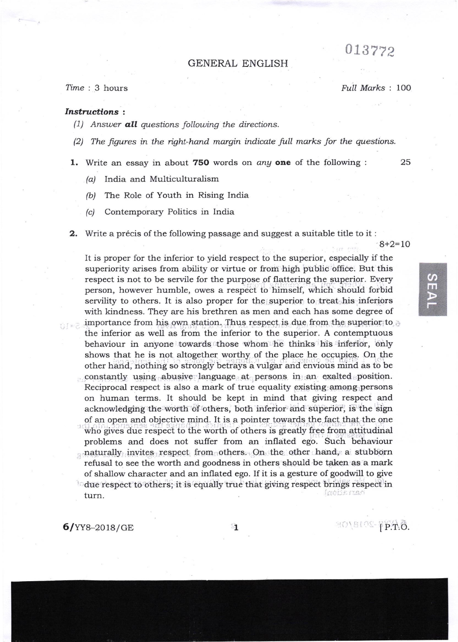## 013772

## GENERAL ENGLISH

## Time : 3 hours

Full Marks : 100

## Instructions :

- (1) Answer **all** questions following the directions.
- $(2)$  The figures in the right-hand margin indicate full marks for the questions.
- 1. Write an essay in about 750 words on *any* one of the following :  $25$

- (a) India and Multiculturalism
- (b) The Role of Youth in Rising India
- (c) Contemporary Politics in India
- **2.** Write a précis of the following passage and suggest a suitable title to it:

 $8+2=10$ 

 $\boldsymbol{\sigma}$ m

It is proper for the inferior to yield respect to the superior, especially if the superiority arises from ability or virtue or from high public office. But this respect is not to be servile for the purpose of flattering the superior. Every person, however humble, owes a respect to himself, which should forbid servility to others. It is also proper for the superior to treat his inferiors with kindness. They are his brethren as men and each has some degree of importance from his own station. Thus respect is due from the superior: to the inferior as well as from the inferior to the superior. A contemptuous behaviour in anyone towards those whom he thinks his inferior, only shows that he is not altogether worthy of the place he occupies. On the other hand, nothing so strongly betrays a vulgar and envious mind as to be constantly using abusive language at persons in an exalted position. Reciprocal respect is also a mark of true equality existing among persons on human terms. It should be kept in mind that giving respect and acknowledging the worth of others, both inferior and superior, is the sign of al open and objective mind. It is a pointer towards the fact that the one who gives due respect to the worth of others is greatly free from attitudinal problems and does not suffer from an inflated ego. Such behaviour naturally invites respect from others. On the other hand, a stubborn refusal to see the worth and goodness in others should be taken as a mark of shallow character and an inflated ego. If it is a gesture of goodwill to give  $\sim$  due respect to others; it is equally true that giving respect brings respect in fande men turn.

6lYY8-2o18/cE lP.T.o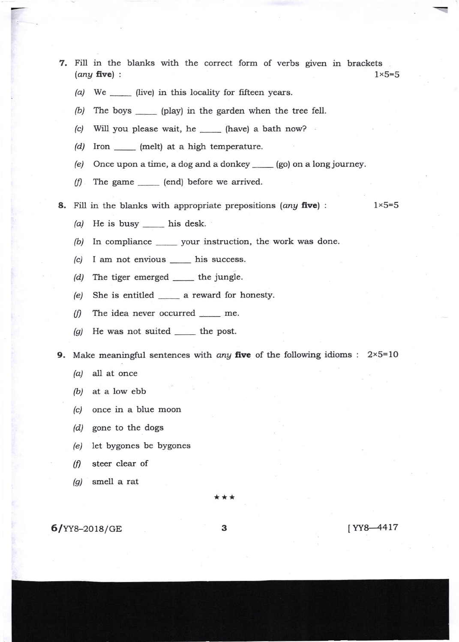- 7. Fill in the blanks with the correct form of verbs given in brackets (any five) :  $1 \times 5=5$ 
	- (a) We  $\frac{1}{\sqrt{1-\frac{1}{\sqrt{1-\frac{1}{\sqrt{1-\frac{1}{\sqrt{1-\frac{1}{\sqrt{1-\frac{1}{\sqrt{1-\frac{1}{\sqrt{1-\frac{1}{\sqrt{1-\frac{1}{\sqrt{1-\frac{1}{\sqrt{1-\frac{1}{\sqrt{1-\frac{1}{\sqrt{1-\frac{1}{\sqrt{1-\frac{1}{\sqrt{1-\frac{1}{\sqrt{1-\frac{1}{\sqrt{1-\frac{1}{\sqrt{1-\frac{1}{\sqrt{1-\frac{1}{\sqrt{1-\frac{1}{\sqrt{1-\frac{1}{\sqrt{1-\frac{1}{\sqrt{1-\frac{1}{\sqrt{1-\frac{1}{\$
	- (b) The boys \_\_\_\_\_\_ (play) in the garden when the tree fell.
	- (c) Will you please wait, he \_\_\_\_\_ (have) a bath now?
	- (d) Iron \_\_\_\_\_ (melt) at a high temperature.
	- (e) Once upon a time, a dog and a donkey  $\qquad$  (go) on a long journey.
	- $(f)$  The game  $\qquad$  (end) before we arrived.
- **8.** Fill in the blanks with appropriate prepositions (any five) :  $1 \times 5=5$

- (a) He is busy \_\_\_\_\_ his desk.
- (b) In compliance \_\_\_\_\_\_ your instruction, the work was done.
- $(c)$  I am not envious \_\_\_\_\_ his success.
- (d) The tiger emerged \_\_\_\_\_\_ the jungle.
- (e) She is entitled \_\_\_\_\_\_\_ a reward for honesty
- (f) The idea never occurred  $\_\_\_\_\$ me.
- (g) He was not suited  $\_\_$  the post.

**9.** Make meaningful sentences with *any* five of the following idioms :  $2 \times 5=10$ 

- (a) all at once
- (b) at a low ebb
- (c) once in a blue moon
- (d) gone to the dogs
- (e) let bygones be bygones
- $(f)$  steer clear of
- $(g)$  smell a rat

\*\*\*

**6/YY8-2018/GE 3** 1YY8-4417